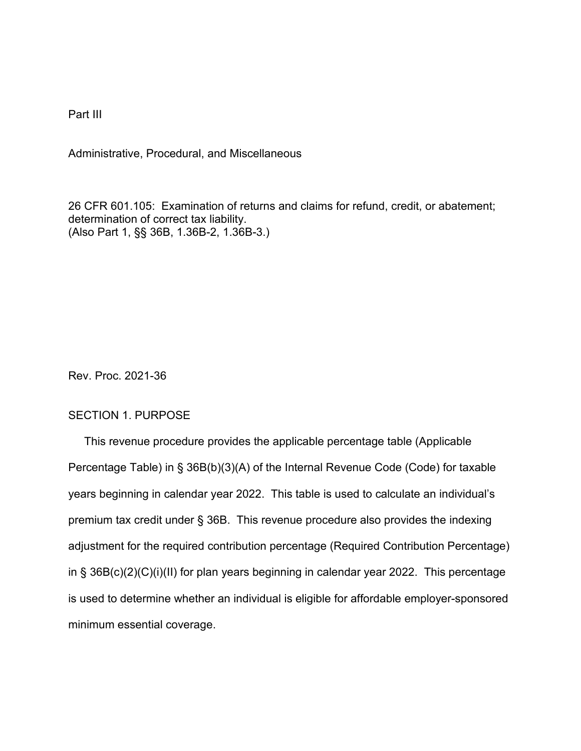Part III

Administrative, Procedural, and Miscellaneous

26 CFR 601.105: Examination of returns and claims for refund, credit, or abatement; determination of correct tax liability. (Also Part 1, §§ 36B, 1.36B-2, 1.36B-3.)

Rev. Proc. 2021-36

## SECTION 1. PURPOSE

 This revenue procedure provides the applicable percentage table (Applicable Percentage Table) in § 36B(b)(3)(A) of the Internal Revenue Code (Code) for taxable years beginning in calendar year 2022. This table is used to calculate an individual's premium tax credit under § 36B. This revenue procedure also provides the indexing adjustment for the required contribution percentage (Required Contribution Percentage) in § 36B(c)(2)(C)(i)(II) for plan years beginning in calendar year 2022. This percentage is used to determine whether an individual is eligible for affordable employer-sponsored minimum essential coverage.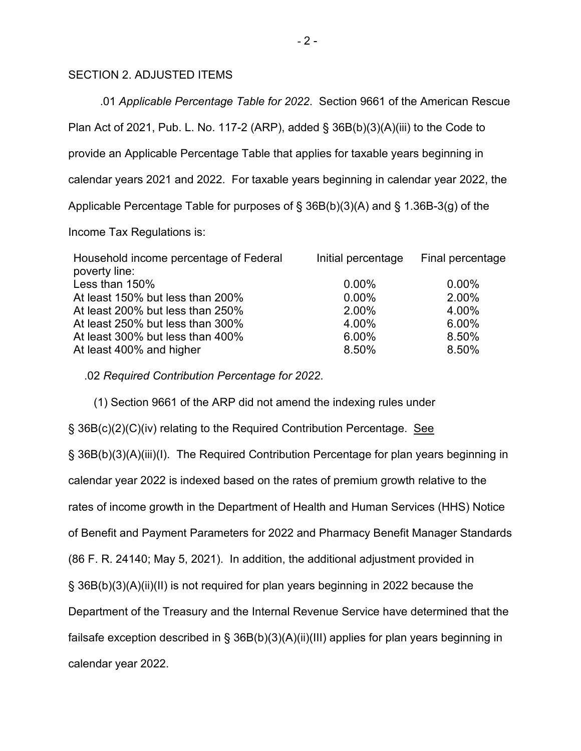## SECTION 2. ADJUSTED ITEMS

 .01 *Applicable Percentage Table for 2022*. Section 9661 of the American Rescue Plan Act of 2021, Pub. L. No. 117-2 (ARP), added  $\S$  36B(b)(3)(A)(iii) to the Code to provide an Applicable Percentage Table that applies for taxable years beginning in calendar years 2021 and 2022. For taxable years beginning in calendar year 2022, the Applicable Percentage Table for purposes of § 36B(b)(3)(A) and § 1.36B-3(g) of the Income Tax Regulations is:

| Household income percentage of Federal | Initial percentage | Final percentage |
|----------------------------------------|--------------------|------------------|
| poverty line:                          |                    |                  |
| Less than 150%                         | $0.00\%$           | $0.00\%$         |
| At least 150% but less than 200%       | $0.00\%$           | 2.00%            |
| At least 200% but less than 250%       | 2.00%              | 4.00%            |
| At least 250% but less than 300%       | 4.00%              | 6.00%            |
| At least 300% but less than 400%       | 6.00%              | 8.50%            |
| At least 400% and higher               | 8.50%              | 8.50%            |

.02 *Required Contribution Percentage for 2022*.

 (1) Section 9661 of the ARP did not amend the indexing rules under § 36B(c)(2)(C)(iv) relating to the Required Contribution Percentage. See § 36B(b)(3)(A)(iii)(I). The Required Contribution Percentage for plan years beginning in calendar year 2022 is indexed based on the rates of premium growth relative to the rates of income growth in the Department of Health and Human Services (HHS) Notice of Benefit and Payment Parameters for 2022 and Pharmacy Benefit Manager Standards (86 F. R. 24140; May 5, 2021). In addition, the additional adjustment provided in § 36B(b)(3)(A)(ii)(II) is not required for plan years beginning in 2022 because the Department of the Treasury and the Internal Revenue Service have determined that the failsafe exception described in § 36B(b)(3)(A)(ii)(III) applies for plan years beginning in calendar year 2022.